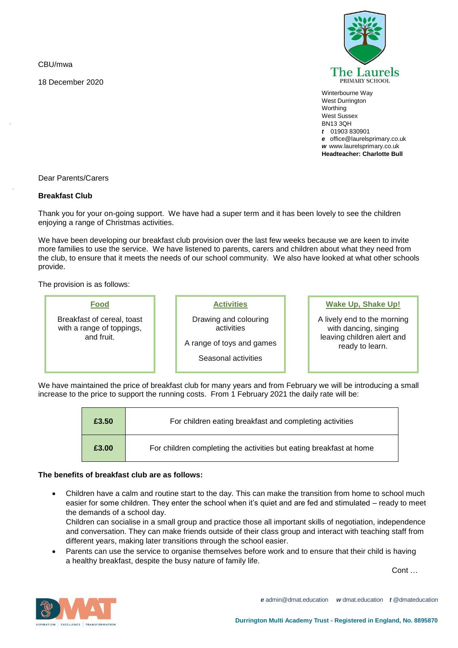CBU/mwa

-

-

18 December 2020



Winterbourne Way West Durrington **Worthing** West Sussex BN13 3QH *t* 01903 830901 *e* office@laurelsprimary.co.uk *w* www.laurelsprimary.co.uk **Headteacher: Charlotte Bull**

## Dear Parents/Carers

## **Breakfast Club**

Thank you for your on-going support. We have had a super term and it has been lovely to see the children enjoying a range of Christmas activities.

We have been developing our breakfast club provision over the last few weeks because we are keen to invite more families to use the service. We have listened to parents, carers and children about what they need from the club, to ensure that it meets the needs of our school community. We also have looked at what other schools provide.

The provision is as follows:

| Food                                                                  | <b>Activities</b>                                                                       | <b>Wake Up, Shake Up!</b>                                                                             |
|-----------------------------------------------------------------------|-----------------------------------------------------------------------------------------|-------------------------------------------------------------------------------------------------------|
| Breakfast of cereal, toast<br>with a range of toppings,<br>and fruit. | Drawing and colouring<br>activities<br>A range of toys and games<br>Seasonal activities | A lively end to the morning<br>with dancing, singing<br>leaving children alert and<br>ready to learn. |

We have maintained the price of breakfast club for many years and from February we will be introducing a small increase to the price to support the running costs. From 1 February 2021 the daily rate will be:

| £3.50 | For children eating breakfast and completing activities             |
|-------|---------------------------------------------------------------------|
| £3.00 | For children completing the activities but eating breakfast at home |

## **The benefits of breakfast club are as follows:**

• Children have a calm and routine start to the day. This can make the transition from home to school much easier for some children. They enter the school when it's quiet and are fed and stimulated – ready to meet the demands of a school day.

Children can socialise in a small group and practice those all important skills of negotiation, independence and conversation. They can make friends outside of their class group and interact with teaching staff from different years, making later transitions through the school easier.

Parents can use the service to organise themselves before work and to ensure that their child is having a healthy breakfast, despite the busy nature of family life.

Cont …